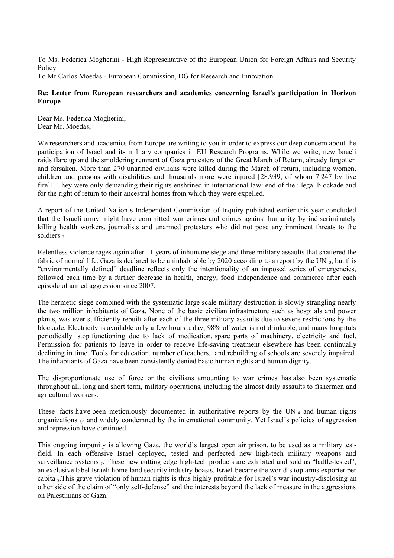To Ms. Federica Mogherini - High Representative of the European Union for Foreign Affairs and Security Policy

To Mr Carlos Moedas - European Commission, DG for Research and Innovation

## **Re: Letter from European researchers and academics concerning Israel's participation in Horizon Europe**

Dear Ms. Federica Mogherini, Dear Mr. Moedas,

We researchers and academics from Europe are writing to you in order to express our deep concern about the participation of Israel and its military companies in EU Research Programs. While we write, new Israeli raids flare up and the smoldering remnant of Gaza protesters of the Great March of Return, already forgotten and forsaken. More than 270 unarmed civilians were killed during the March of return, including women, children and persons with disabilities and thousands more were injured [28.939, of whom 7.247 by live fire]1. They were only demanding their rights enshrined in international law: end of the illegal blockade and for the right of return to their ancestral homes from which they were expelled.

A report of the United Nation's Independent Commission of Inquiry published earlier this year concluded that the Israeli army might have committed war crimes and crimes against humanity by indiscriminately killing health workers, journalists and unarmed protesters who did not pose any imminent threats to the soldiers <sub>2</sub>

Relentless violence rages again after 11 years of inhumane siege and three military assaults that shattered the fabric of normal life. Gaza is declared to be uninhabitable by 2020 according to a report by the UN 3, but this "environmentally defined" deadline reflects only the intentionality of an imposed series of emergencies, followed each time by a further decrease in health, energy, food independence and commerce after each episode of armed aggression since 2007.

The hermetic siege combined with the systematic large scale military destruction is slowly strangling nearly the two million inhabitants of Gaza. None of the basic civilian infrastructure such as hospitals and power plants, was ever sufficiently rebuilt after each of the three military assaults due to severe restrictions by the blockade. Electricity is available only a few hours a day, 98% of water is not drinkable, and many hospitals periodically stop functioning due to lack of medication, spare parts of machinery, electricity and fuel. Permission for patients to leave in order to receive life-saving treatment elsewhere has been continually declining in time. Tools for education, number of teachers, and rebuilding of schools are severely impaired. The inhabitants of Gaza have been consistently denied basic human rights and human dignity.

The disproportionate use of force on the civilians amounting to war crimes has also been systematic throughout all, long and short term, military operations, including the almost daily assaults to fishermen and agricultural workers.

These facts have been meticulously documented in authoritative reports by the UN<sub>4</sub> and human rights organizations  $56$  and widely condemned by the international community. Yet Israel's policies of aggression and repression have continued.

This ongoing impunity is allowing Gaza, the world's largest open air prison, to be used as a military testfield. In each offensive Israel deployed, tested and perfected new high-tech military weapons and surveillance systems 7. These new cutting edge high-tech products are exhibited and sold as "battle-tested", an exclusive label Israeli home land security industry boasts. Israel became the world's top arms exporter per capita 8. This grave violation of human rights is thus highly profitable for Israel's war industry-disclosing an other side of the claim of "only self-defense" and the interests beyond the lack of measure in the aggressions on Palestinians of Gaza.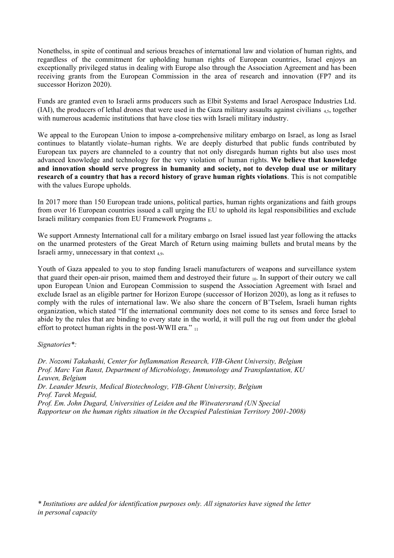Nonethelss, in spite of continual and serious breaches of international law and violation of human rights, and regardless of the commitment for upholding human rights of European countries, Israel enjoys an exceptionally privileged status in dealing with Europe also through the Association Agreement and has been receiving grants from the European Commission in the area of research and innovation (FP7 and its successor Horizon 2020).

Funds are granted even to Israeli arms producers such as Elbit Systems and Israel Aerospace Industries Ltd. (IAI), the producers of lethal drones that were used in the Gaza military assaults against civilians  $_{45}$ , together with numerous academic institutions that have close ties with Israeli military industry.

We appeal to the European Union to impose a-comprehensive military embargo on Israel, as long as Israel continues to blatantly violate human rights. We are deeply disturbed that public funds contributed by European tax payers are channeled to a country that not only disregards human rights but also uses most advanced knowledge and technology for the very violation of human rights. **We believe that knowledge and innovation should serve progress in humanity and society, not to develop dual use or military research of a country that has a record history of grave human rights violations**. This is not compatible with the values Europe upholds.

In 2017 more than 150 European trade unions, political parties, human rights organizations and faith groups from over 16 European countries issued a call urging the EU to uphold its legal responsibilities and exclude Israeli military companies from EU Framework Programs  $_{8}$ .

We support Amnesty International call for a military embargo on Israel issued last year following the attacks on the unarmed protesters of the Great March of Return using maiming bullets and brutal means by the Israeli army, unnecessary in that context 4,9.

Youth of Gaza appealed to you to stop funding Israeli manufacturers of weapons and surveillance system that guard their open-air prison, maimed them and destroyed their future <sup>10</sup>. In support of their outcry we call upon European Union and European Commission to suspend the Association Agreement with Israel and exclude Israel as an eligible partner for Horizon Europe (successor of Horizon 2020), as long as it refuses to comply with the rules of international law. We also share the concern of B'Tselem, Israeli human rights organization, which stated "If the international community does not come to its senses and force Israel to abide by the rules that are binding to every state in the world, it will pull the rug out from under the global effort to protect human rights in the post-WWII era." 11

## *Signatories\*:*

*Dr. Nozomi Takahashi, Center for Inflammation Research, VIB-Ghent University, Belgium Prof. Marc Van Ranst, Department of Microbiology, Immunology and Transplantation, KU Leuven, Belgium Dr. Leander Meuris, Medical Biotechnology, VIB-Ghent University, Belgium Prof. Tarek Meguid, Prof. Em. John Dugard, Universities of Leiden and the Witwatersrand (UN Special Rapporteur on the human rights situation in the Occupied Palestinian Territory 2001-2008)*